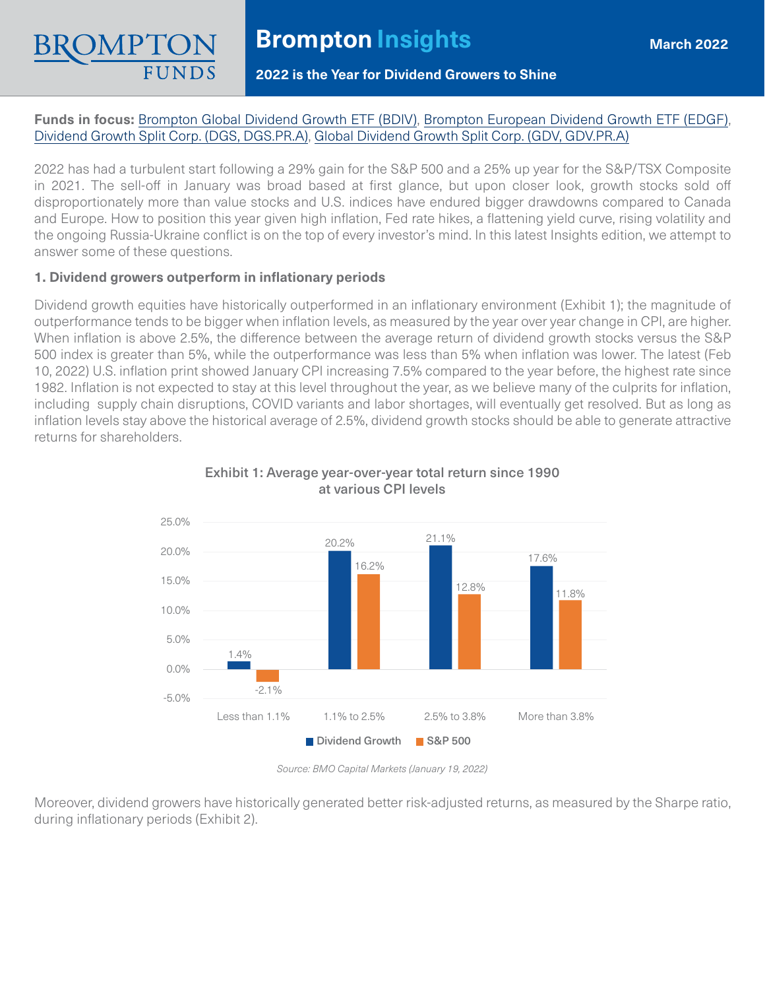### **2022 is the Year for Dividend Growers to Shine**

## **Funds in focus:** [Brompton Global Dividend Growth ETF \(BDIV\),](https://www.bromptongroup.com/BDIV) [Brompton European Dividend Growth ETF \(EDGF\)](https://www.bromptongroup.com/EDGF), [Dividend Growth Split Corp. \(DGS, DGS.PR.A\),](https://www.bromptongroup.com/DGS) [Global Dividend Growth Split Corp. \(GDV, GDV.PR.A\)](https://www.bromptongroup.com/GDV)

2022 has had a turbulent start following a 29% gain for the S&P 500 and a 25% up year for the S&P/TSX Composite in 2021. The sell-off in January was broad based at first glance, but upon closer look, growth stocks sold off disproportionately more than value stocks and U.S. indices have endured bigger drawdowns compared to Canada and Europe. How to position this year given high inflation, Fed rate hikes, a flattening yield curve, rising volatility and the ongoing Russia-Ukraine conflict is on the top of every investor's mind. In this latest Insights edition, we attempt to answer some of these questions.

## **1. Dividend growers outperform in inflationary periods**

Dividend growth equities have historically outperformed in an inflationary environment (Exhibit 1); the magnitude of outperformance tends to be bigger when inflation levels, as measured by the year over year change in CPI, are higher. When inflation is above 2.5%, the difference between the average return of dividend growth stocks versus the S&P 500 index is greater than 5%, while the outperformance was less than 5% when inflation was lower. The latest (Feb 10, 2022) U.S. inflation print showed January CPI increasing 7.5% compared to the year before, the highest rate since 1982. Inflation is not expected to stay at this level throughout the year, as we believe many of the culprits for inflation, including supply chain disruptions, COVID variants and labor shortages, will eventually get resolved. But as long as inflation levels stay above the historical average of 2.5%, dividend growth stocks should be able to generate attractive returns for shareholders.



## Exhibit 1: Average year-over-year total return since 1990 at various CPI levels

*Source: BMO Capital Markets (January 19, 2022)*

Moreover, dividend growers have historically generated better risk-adjusted returns, as measured by the Sharpe ratio, during inflationary periods (Exhibit 2).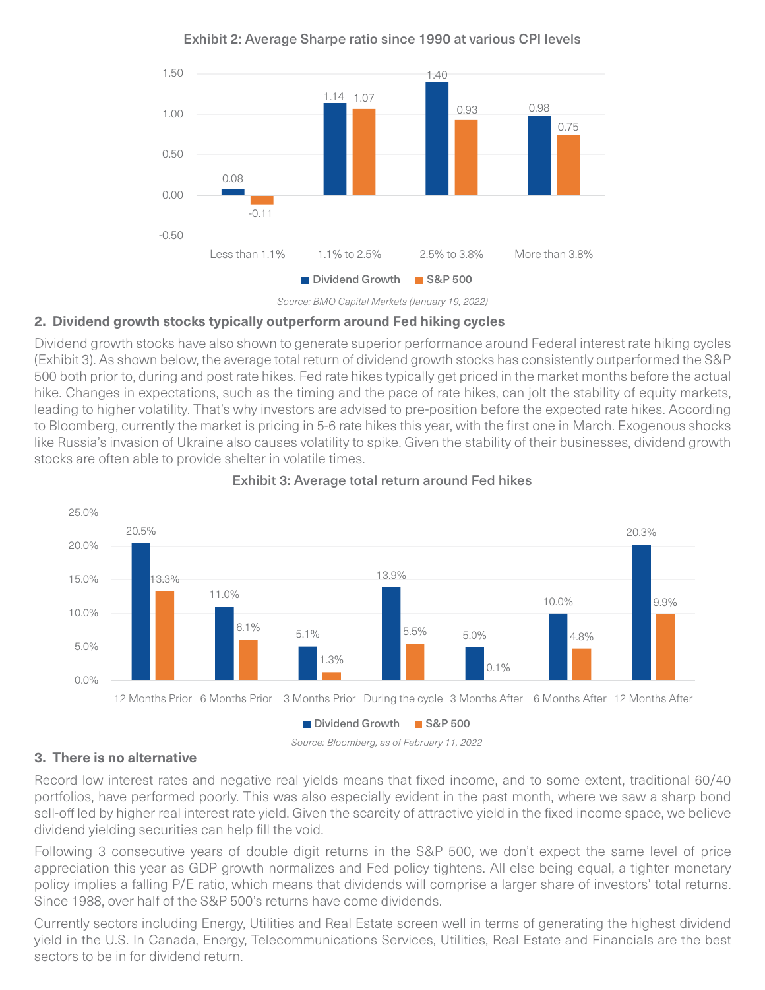

Exhibit 2: Average Sharpe ratio since 1990 at various CPI levels



# **2. Dividend growth stocks typically outperform around Fed hiking cycles**

Dividend growth stocks have also shown to generate superior performance around Federal interest rate hiking cycles (Exhibit 3). As shown below, the average total return of dividend growth stocks has consistently outperformed the S&P 500 both prior to, during and post rate hikes. Fed rate hikes typically get priced in the market months before the actual hike. Changes in expectations, such as the timing and the pace of rate hikes, can jolt the stability of equity markets, leading to higher volatility. That's why investors are advised to pre-position before the expected rate hikes. According to Bloomberg, currently the market is pricing in 5-6 rate hikes this year, with the first one in March. Exogenous shocks like Russia's invasion of Ukraine also causes volatility to spike. Given the stability of their businesses, dividend growth stocks are often able to provide shelter in volatile times.



## Exhibit 3: Average total return around Fed hikes

*Source: Bloomberg, as of February 11, 2022*

# **3. There is no alternative**

Record low interest rates and negative real yields means that fixed income, and to some extent, traditional 60/40 portfolios, have performed poorly. This was also especially evident in the past month, where we saw a sharp bond sell-off led by higher real interest rate yield. Given the scarcity of attractive yield in the fixed income space, we believe dividend yielding securities can help fill the void.

Following 3 consecutive years of double digit returns in the S&P 500, we don't expect the same level of price appreciation this year as GDP growth normalizes and Fed policy tightens. All else being equal, a tighter monetary policy implies a falling P/E ratio, which means that dividends will comprise a larger share of investors' total returns. Since 1988, over half of the S&P 500's returns have come dividends.

Currently sectors including Energy, Utilities and Real Estate screen well in terms of generating the highest dividend yield in the U.S. In Canada, Energy, Telecommunications Services, Utilities, Real Estate and Financials are the best sectors to be in for dividend return.